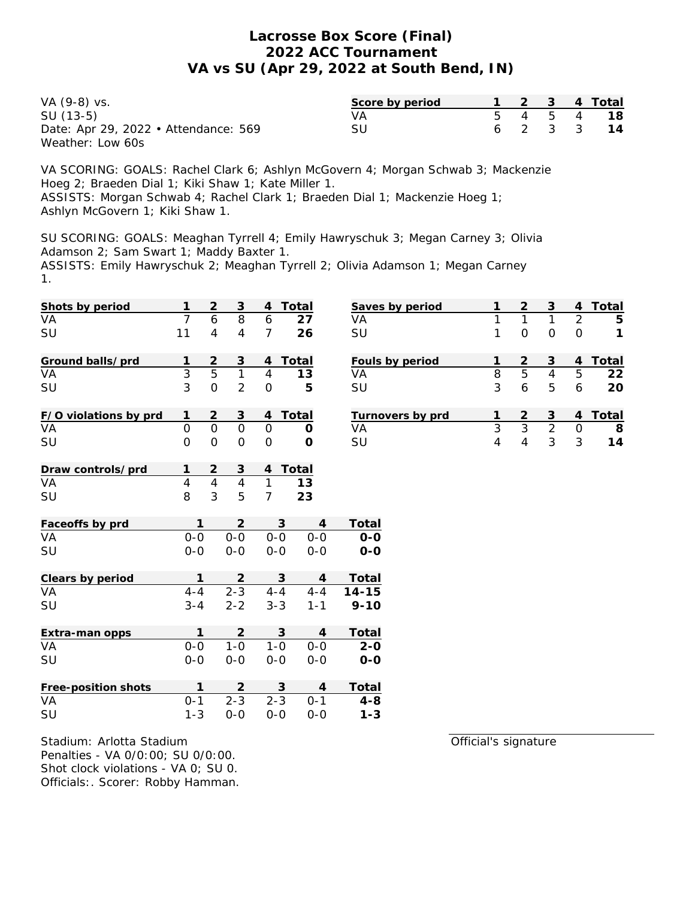| VA (9-8) vs.                         | Score by period |  |  | 1 2 3 4 Total |
|--------------------------------------|-----------------|--|--|---------------|
| SU (13-5)                            | VА              |  |  | 5 4 5 4 18    |
| Date: Apr 29, 2022 • Attendance: 569 | SU              |  |  | 6 2 3 3 14    |
| Weather: Low 60s                     |                 |  |  |               |

VA SCORING: GOALS: Rachel Clark 6; Ashlyn McGovern 4; Morgan Schwab 3; Mackenzie Hoeg 2; Braeden Dial 1; Kiki Shaw 1; Kate Miller 1. ASSISTS: Morgan Schwab 4; Rachel Clark 1; Braeden Dial 1; Mackenzie Hoeg 1; Ashlyn McGovern 1; Kiki Shaw 1.

SU SCORING: GOALS: Meaghan Tyrrell 4; Emily Hawryschuk 3; Megan Carney 3; Olivia Adamson 2; Sam Swart 1; Maddy Baxter 1. ASSISTS: Emily Hawryschuk 2; Meaghan Tyrrell 2; Olivia Adamson 1; Megan Carney 1.

| Shots by period          | 1              | $\overline{2}$ | $\mathsf 3$    | 4              | Total                            |                 | Saves by period  | 1              | $\mathbf 2$         | $\mathsf 3$               | 4              | Total       |
|--------------------------|----------------|----------------|----------------|----------------|----------------------------------|-----------------|------------------|----------------|---------------------|---------------------------|----------------|-------------|
| VA                       | $\overline{7}$ | 6              | $\overline{8}$ | 6              | 27                               | VA              |                  | $\mathbf{1}$   | $\mathbf{1}$        | $\mathbf{1}$              | $\overline{2}$ | 5           |
| SU                       | 11             | $\overline{4}$ | $\overline{4}$ | $\overline{7}$ | 26                               | SU              |                  | 1              | $\mathsf{O}\xspace$ | $\mathbf 0$               | $\mathbf 0$    | $\mathbf 1$ |
| Ground balls/prd         |                | $\overline{2}$ | 3              | 4              | Total                            | Fouls by period |                  | 1              | $\overline{2}$      | $\ensuremath{\mathsf{3}}$ | 4              | Total       |
| VA                       | $\mathbf{3}$   | $\overline{5}$ | $\mathbf{1}$   | $\overline{4}$ | 13                               | VA              |                  | $\overline{8}$ | $\overline{5}$      | $\overline{4}$            | 5              | 22          |
| SU                       | $\overline{3}$ | $\overline{O}$ | $\overline{2}$ | $\overline{O}$ | 5                                | SU              |                  | 3              | 6                   | 5                         | 6              | 20          |
| F/O violations by prd    | 1              | $\overline{2}$ | $\mathsf 3$    | 4              | Total                            |                 | Turnovers by prd | 1              | $\mathbf 2$         | $\mathsf 3$               | $\overline{4}$ | Total       |
| VA                       | $\overline{O}$ | $\overline{0}$ | $\overline{0}$ | $\overline{O}$ | $\mathcal{O}$                    | VA              |                  | $\overline{3}$ | $\overline{3}$      | $\overline{2}$            | $\mathcal{O}$  | 8           |
| SU                       | $\overline{O}$ | $\overline{O}$ | $\overline{O}$ | $\overline{O}$ | $\circ$                          | SU              |                  | $\overline{4}$ | $\overline{4}$      | $\mathfrak{Z}$            | 3              | 14          |
| Draw controls/prd        |                | $\mathbf{2}$   | $\overline{3}$ | 4              | Total                            |                 |                  |                |                     |                           |                |             |
| VA                       | $\overline{4}$ | $\overline{4}$ | $\overline{4}$ | $\mathbf{1}$   | 13                               |                 |                  |                |                     |                           |                |             |
| SU                       | 8              | $\overline{3}$ | 5              | $\overline{7}$ | 23                               |                 |                  |                |                     |                           |                |             |
| Faceoffs by prd          | 1              |                | $\overline{2}$ |                | 3<br>$\overline{4}$              | Total           |                  |                |                     |                           |                |             |
| VA                       | $0-0$          |                | $O-O$          | $0 - 0$        | $0 - 0$                          | $O-O$           |                  |                |                     |                           |                |             |
| SU                       | $0-0$          |                | $0-0$          | $O-O$          | $0-0$                            | $O-O$           |                  |                |                     |                           |                |             |
| Clears by period         | $\mathbf{1}$   |                | $\sqrt{2}$     |                | $\mathfrak{S}$<br>$\overline{4}$ | Total           |                  |                |                     |                           |                |             |
| $\overline{\mathsf{VA}}$ | $4 - 4$        |                | $2 - 3$        | $4 - 4$        | $4 - 4$                          | $14 - 15$       |                  |                |                     |                           |                |             |
| SU                       | $3 - 4$        |                | $2 - 2$        | $3 - 3$        | $1 - 1$                          | $9 - 10$        |                  |                |                     |                           |                |             |
| Extra-man opps           | 1              |                | $\overline{2}$ |                | $\mathsf 3$<br>$\overline{4}$    | Total           |                  |                |                     |                           |                |             |
| VA                       | $0-0$          |                | $1 - 0$        | $1 - 0$        | $0-0$                            | $2 - 0$         |                  |                |                     |                           |                |             |
| SU                       | $0-0$          |                | $0-0$          | $0-0$          | $0-0$                            | $O-O$           |                  |                |                     |                           |                |             |
| Free-position shots      | $\mathbf{1}$   |                | $\overline{2}$ |                | 3<br>$\overline{4}$              | Total           |                  |                |                     |                           |                |             |
| VA                       | $0 - 1$        |                | $2 - 3$        | $2 - 3$        | $0 - 1$                          | $4 - 8$         |                  |                |                     |                           |                |             |
| SU                       | $1 - 3$        |                | $0-0$          | $0-0$          | $0-0$                            | $1 - 3$         |                  |                |                     |                           |                |             |

Stadium: Arlotta Stadium Penalties - VA 0/0:00; SU 0/0:00. Shot clock violations - VA 0; SU 0. Officials:. Scorer: Robby Hamman. Official's signature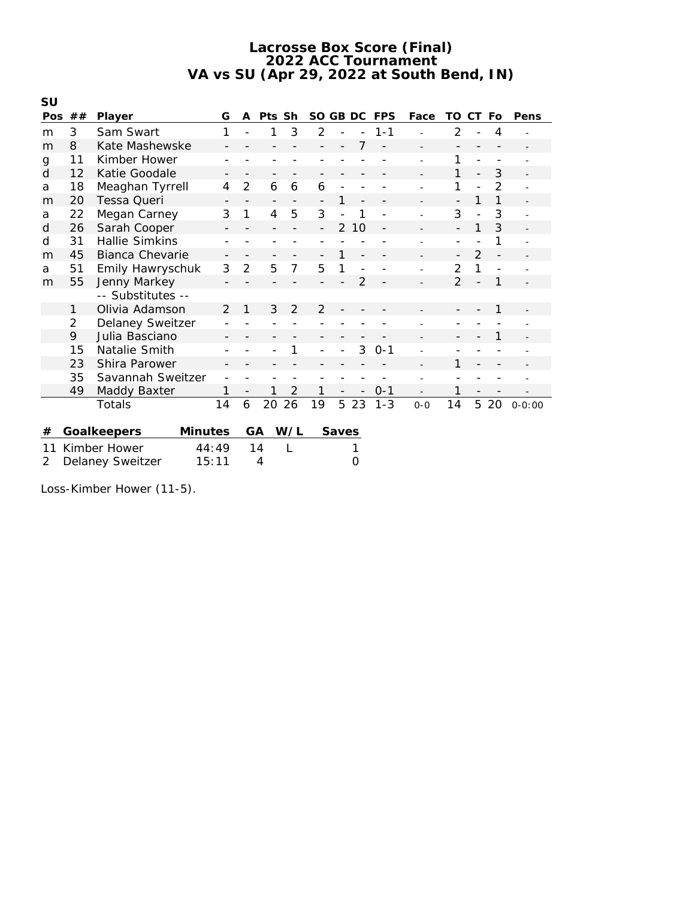| SU  |                           |                         |                |                          |                          |                |                          |               |    |         |         |                          |                |                |            |
|-----|---------------------------|-------------------------|----------------|--------------------------|--------------------------|----------------|--------------------------|---------------|----|---------|---------|--------------------------|----------------|----------------|------------|
| Pos | ##                        | Player                  | G              | A                        | Pts Sh                   |                | SO GB DC                 |               |    | FPS     | Face    | TO.                      | CT.            | Fo             | Pens       |
| m   | 3                         | Sam Swart               | 1              |                          | 1                        | 3              | $\overline{2}$           |               |    | $1 - 1$ |         | 2                        |                | 4              |            |
| m   | 8                         | Kate Mashewske          |                |                          |                          |                |                          |               |    |         |         |                          |                |                |            |
| g   | 11                        | Kimber Hower            |                |                          |                          |                |                          |               |    |         |         | 1                        |                |                |            |
| d   | 12                        | Katie Goodale           |                |                          |                          |                |                          |               |    |         |         | 1                        |                | 3              |            |
| a   | 18                        | Meaghan Tyrrell         | $\overline{4}$ | $\overline{2}$           | 6                        | 6              | 6                        |               |    |         |         | 1                        |                | $\overline{2}$ |            |
| m   | 20                        | Tessa Queri             |                | $\overline{\phantom{a}}$ | $\overline{\phantom{a}}$ |                | $\overline{\phantom{0}}$ |               |    |         |         |                          | 1              | 1              |            |
| a   | 22                        | Megan Carney            | 3              | 1                        | 4                        | 5              | 3                        |               | 1  |         |         | 3                        |                | 3              |            |
| d   | 26                        | Sarah Cooper            |                |                          |                          |                |                          | $\mathcal{P}$ | 10 |         |         |                          | 1              | 3              |            |
| d   | 31                        | <b>Hallie Simkins</b>   |                |                          |                          |                |                          |               |    |         |         |                          |                | 1              |            |
| m   | 45                        | <b>Bianca Chevarie</b>  |                | $\overline{\phantom{a}}$ |                          |                |                          | 1             |    |         |         | $\overline{\phantom{0}}$ | $\overline{2}$ |                |            |
| a   | 51                        | Emily Hawryschuk        |                | $\overline{2}$           | 5                        | 7              | 5                        |               |    |         |         | 2                        | 1              |                |            |
| m   | 55                        | Jenny Markey            |                |                          |                          |                |                          |               | 2  |         |         | $\overline{2}$           |                | 1              |            |
|     |                           | -- Substitutes --       |                |                          |                          |                |                          |               |    |         |         |                          |                |                |            |
|     | 1                         | Olivia Adamson          | $\mathcal{P}$  | 1                        | 3                        | $\mathcal{P}$  | $\mathcal{P}$            |               |    |         |         |                          |                | 1              |            |
|     | $\overline{2}$            | <b>Delaney Sweitzer</b> |                |                          |                          |                |                          |               |    |         |         |                          |                |                |            |
|     | 9                         | Julia Basciano          |                |                          |                          |                |                          |               |    |         |         |                          |                |                |            |
|     | 15                        | Natalie Smith           |                |                          |                          |                |                          |               | 3  | $0 - 1$ |         |                          |                |                |            |
|     | 23                        | Shira Parower           |                |                          |                          |                |                          |               |    |         |         | 1                        |                |                |            |
|     | 35                        | Savannah Sweitzer       |                |                          |                          |                |                          |               |    |         |         |                          |                |                |            |
|     | 49                        | Maddy Baxter            | 1              | $\overline{\phantom{a}}$ |                          | $\overline{2}$ |                          |               |    | $0 - 1$ |         | 1                        |                |                |            |
|     |                           | Totals                  | 14             | 6                        | 20                       | 26             | 19                       | 5             | 23 | $1 - 3$ | $0 - 0$ | 14                       | 5              | 20             | $0 - 0:00$ |
|     |                           |                         |                |                          |                          |                |                          |               |    |         |         |                          |                |                |            |
| #   |                           | Goalkeepers<br>Minutes  |                | GA                       |                          | W/L            |                          | Saves         |    |         |         |                          |                |                |            |
| 11  |                           | Kimber Hower<br>44:49   |                |                          | 14                       |                |                          |               |    |         |         |                          |                |                |            |
| 2   | Delaney Sweitzer<br>15:11 |                         |                |                          | 4                        |                |                          |               | 0  |         |         |                          |                |                |            |

Loss-Kimber Hower (11-5).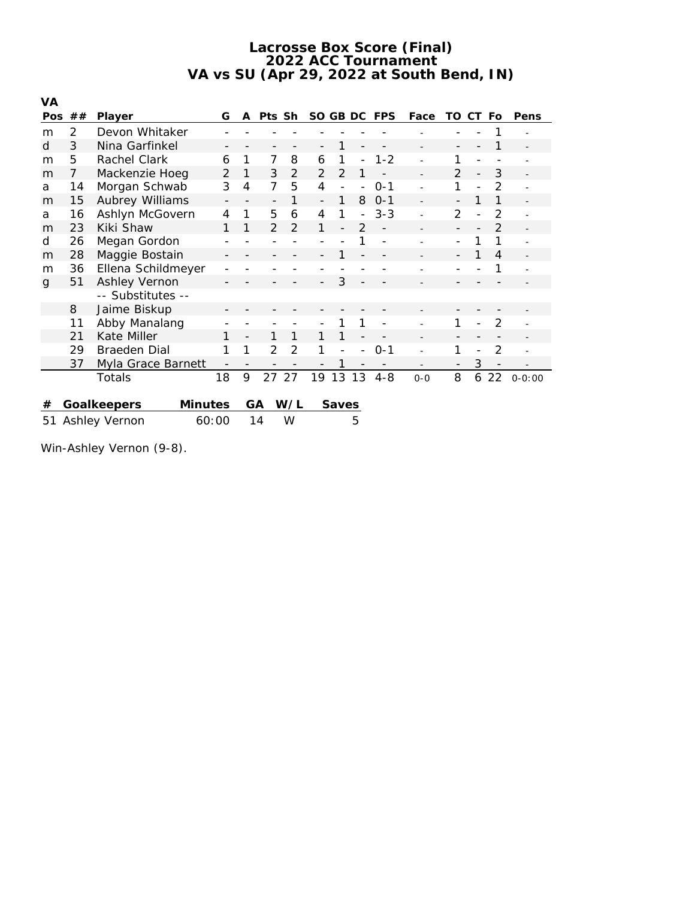| VA                           |                |                        |                |                |                |                |               |                          |               |            |         |                |     |                |            |
|------------------------------|----------------|------------------------|----------------|----------------|----------------|----------------|---------------|--------------------------|---------------|------------|---------|----------------|-----|----------------|------------|
| Pos                          | ##             | Player                 | G              | A              | Pts Sh         |                | SO GB DC      |                          |               | <b>FPS</b> | Face    | TO             | CT. | Fo             | Pens       |
| m                            | 2              | Devon Whitaker         |                |                |                |                |               |                          |               |            |         |                |     |                |            |
| d                            | 3              | Nina Garfinkel         |                |                |                |                |               |                          |               |            |         |                |     |                |            |
| m                            | 5              | Rachel Clark           | 6              | 1              | 7              | 8              | 6             | 1                        |               | $1 - 2$    |         |                |     |                |            |
| m                            | $\overline{7}$ | Mackenzie Hoeg         | $\overline{2}$ | 1              | 3              | 2              | $\mathcal{P}$ | 2                        | 1             |            |         | $\mathcal{P}$  |     | 3              |            |
| a                            | 14             | Morgan Schwab          | 3              | $\overline{4}$ | 7              | 5              | 4             | $\overline{\phantom{0}}$ |               | $O - 1$    |         | 1              |     | $\overline{2}$ |            |
| m                            | 15             | Aubrey Williams        |                |                | $\overline{a}$ | 1              |               | 1                        | 8             | $O - 1$    |         |                |     |                |            |
| a                            | 16             | Ashlyn McGovern        | 4              | 1              | 5              | 6              | 4             | 1                        |               | $3 - 3$    |         | $\overline{2}$ |     | $\mathcal{P}$  |            |
| m                            | 23             | Kiki Shaw              | 1              | 1              | 2              | 2              |               |                          | $\mathcal{P}$ |            |         |                |     | 2              |            |
| d                            | 26             | Megan Gordon           |                |                |                |                |               |                          |               |            |         |                |     |                |            |
| m                            | 28             | Maggie Bostain         |                |                |                |                |               |                          |               |            |         |                |     | 4              |            |
| m                            | 36             | Ellena Schildmeyer     |                |                |                |                |               |                          |               |            |         |                |     |                |            |
| g                            | 51             | Ashley Vernon          |                |                |                |                |               | 3                        |               |            |         |                |     |                |            |
|                              |                | -- Substitutes --      |                |                |                |                |               |                          |               |            |         |                |     |                |            |
|                              | 8              | Jaime Biskup           |                |                |                |                |               |                          |               |            |         |                |     |                |            |
|                              | 11             | Abby Manalang          |                |                |                |                |               | 1                        | 1             |            |         | 1              |     | $\overline{2}$ |            |
|                              | 21             | Kate Miller            | 1              |                | 1              | 1              | 1             | 1                        |               |            |         |                |     |                |            |
|                              | 29             | <b>Braeden Dial</b>    | 1              | 1              | 2              | $\overline{2}$ | 1             |                          |               | $0 - 1$    |         |                |     | $\overline{2}$ |            |
|                              | 37             | Myla Grace Barnett     |                |                |                |                |               | 1                        |               |            |         |                | 3   |                |            |
|                              |                | Totals                 | 18             | 9              | 27             | 27             | 19            | 13                       | 13            | $4 - 8$    | $O - O$ | 8              | 6   | 22             | $0 - 0:00$ |
|                              |                |                        |                |                |                |                |               |                          |               |            |         |                |     |                |            |
| #                            |                | Goalkeepers<br>Minutes |                |                | GA             | W/L            |               | Saves                    |               |            |         |                |     |                |            |
| 60:00<br>Ashley Vernon<br>51 |                |                        |                |                | 14             | W              |               |                          | 5             |            |         |                |     |                |            |

Win-Ashley Vernon (9-8).